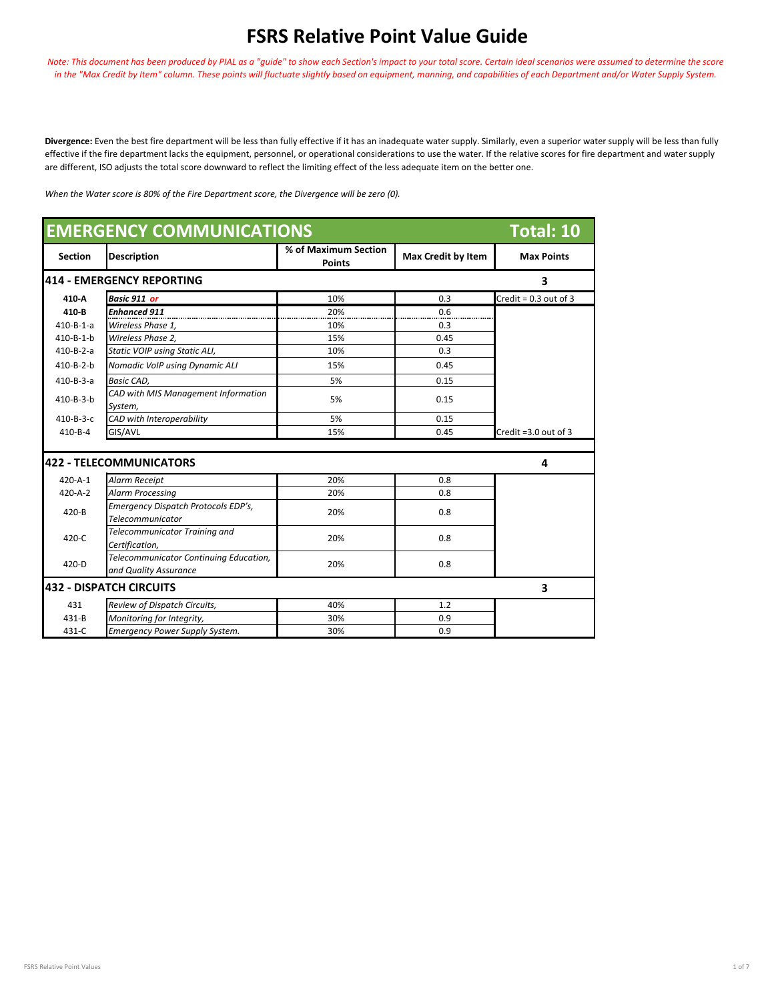## **FSRS Relative Point Value Guide**

*Note: This document has been produced by PIAL as a "guide" to show each Section's impact to your total score. Certain ideal scenarios were assumed to determine the score in the "Max Credit by Item" column. These points will fluctuate slightly based on equipment, manning, and capabilities of each Department and/or Water Supply System.* 

**Divergence:** Even the best fire department will be less than fully effective if it has an inadequate water supply. Similarly, even a superior water supply will be less than fully effective if the fire department lacks the equipment, personnel, or operational considerations to use the water. If the relative scores for fire department and water supply are different, ISO adjusts the total score downward to reflect the limiting effect of the less adequate item on the better one.

*When the Water score is 80% of the Fire Department score, the Divergence will be zero (0).*

| <b>EMERGENCY COMMUNICATIONS</b><br><b>Total: 10</b> |                                                                 |                                       |                           |                           |  |
|-----------------------------------------------------|-----------------------------------------------------------------|---------------------------------------|---------------------------|---------------------------|--|
| <b>Section</b>                                      | <b>Description</b>                                              | % of Maximum Section<br><b>Points</b> | <b>Max Credit by Item</b> | <b>Max Points</b>         |  |
|                                                     | 1414 - EMERGENCY REPORTING                                      |                                       |                           | 3                         |  |
| 410-A                                               | <b>Basic 911 or</b>                                             | 10%                                   | 0.3                       | Credit = $0.3$ out of 3   |  |
| 410-B                                               | <b>Enhanced 911</b>                                             | 20%                                   | 0.6                       |                           |  |
| $410 - B - 1 - a$                                   | Wireless Phase 1,                                               | 10%                                   | 0.3                       |                           |  |
| $410 - B - 1 - b$                                   | Wireless Phase 2.                                               | 15%                                   | 0.45                      |                           |  |
| $410 - B - 2 - a$                                   | Static VOIP using Static ALI,                                   | 10%                                   | 0.3                       |                           |  |
| $410 - B - 2 - b$                                   | Nomadic VoIP using Dynamic ALI                                  | 15%                                   | 0.45                      |                           |  |
| $410 - B - 3 - a$                                   | Basic CAD,                                                      | 5%                                    | 0.15                      |                           |  |
| 410-B-3-b                                           | CAD with MIS Management Information<br>System,                  | 5%                                    | 0.15                      |                           |  |
| $410 - B - 3 - C$                                   | CAD with Interoperability                                       | 5%                                    | 0.15                      |                           |  |
| $410 - B - 4$                                       | GIS/AVL                                                         | 15%                                   | 0.45                      | Credit = $3.0$ out of $3$ |  |
|                                                     | 422 - TELECOMMUNICATORS                                         |                                       |                           | 4                         |  |
| $420 - A - 1$                                       | Alarm Receipt                                                   | 20%                                   | 0.8                       |                           |  |
| $420 - A - 2$                                       | <b>Alarm Processing</b>                                         | 20%                                   | 0.8                       |                           |  |
| 420-B                                               | Emergency Dispatch Protocols EDP's,<br>Telecommunicator         | 20%                                   | 0.8                       |                           |  |
| 420-C                                               | <b>Telecommunicator Training and</b><br>Certification,          | 20%                                   | 0.8                       |                           |  |
| $420 - D$                                           | Telecommunicator Continuing Education,<br>and Quality Assurance | 20%                                   | 0.8                       |                           |  |
| 432 - DISPATCH CIRCUITS<br>3                        |                                                                 |                                       |                           |                           |  |
| 431                                                 | Review of Dispatch Circuits,                                    | 40%                                   | 1.2                       |                           |  |
| $431 - B$                                           | Monitoring for Integrity,                                       | 30%                                   | 0.9                       |                           |  |
| 431-C                                               | <b>Emergency Power Supply System.</b>                           | 30%                                   | 0.9                       |                           |  |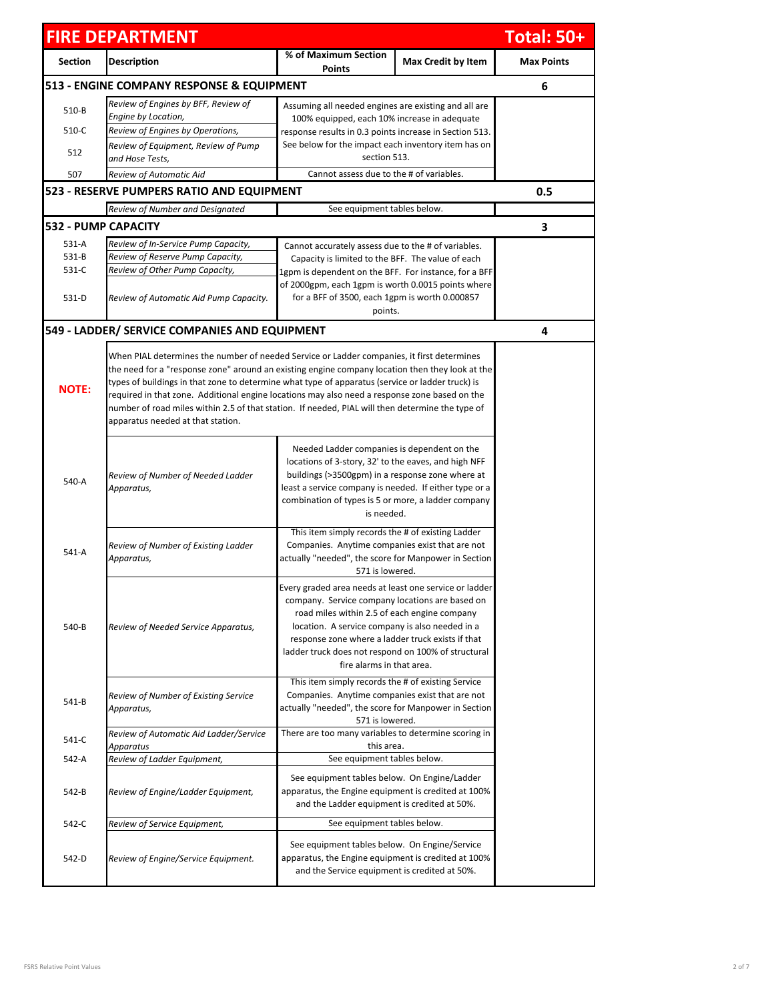|                                           | <b>FIRE DEPARTMENT</b>                                                  |                                                                                                                                                                                                                                                                                                                                                       |                                                                                                                                                                                                                                                                                                                                                                                                                                                                                                        | <b>Total: 50+</b> |  |
|-------------------------------------------|-------------------------------------------------------------------------|-------------------------------------------------------------------------------------------------------------------------------------------------------------------------------------------------------------------------------------------------------------------------------------------------------------------------------------------------------|--------------------------------------------------------------------------------------------------------------------------------------------------------------------------------------------------------------------------------------------------------------------------------------------------------------------------------------------------------------------------------------------------------------------------------------------------------------------------------------------------------|-------------------|--|
| <b>Section</b>                            | <b>Description</b>                                                      | % of Maximum Section<br>Points                                                                                                                                                                                                                                                                                                                        | <b>Max Credit by Item</b>                                                                                                                                                                                                                                                                                                                                                                                                                                                                              | <b>Max Points</b> |  |
| 513 - ENGINE COMPANY RESPONSE & EQUIPMENT |                                                                         |                                                                                                                                                                                                                                                                                                                                                       |                                                                                                                                                                                                                                                                                                                                                                                                                                                                                                        |                   |  |
| 510-B                                     | Review of Engines by BFF, Review of                                     | Assuming all needed engines are existing and all are                                                                                                                                                                                                                                                                                                  |                                                                                                                                                                                                                                                                                                                                                                                                                                                                                                        |                   |  |
| 510-C                                     | Engine by Location,                                                     | 100% equipped, each 10% increase in adequate                                                                                                                                                                                                                                                                                                          |                                                                                                                                                                                                                                                                                                                                                                                                                                                                                                        |                   |  |
|                                           | Review of Engines by Operations,<br>Review of Equipment, Review of Pump | response results in 0.3 points increase in Section 513.<br>See below for the impact each inventory item has on                                                                                                                                                                                                                                        |                                                                                                                                                                                                                                                                                                                                                                                                                                                                                                        |                   |  |
| 512                                       | and Hose Tests,                                                         | section 513.                                                                                                                                                                                                                                                                                                                                          |                                                                                                                                                                                                                                                                                                                                                                                                                                                                                                        |                   |  |
| 507                                       | Review of Automatic Aid                                                 | Cannot assess due to the # of variables.                                                                                                                                                                                                                                                                                                              |                                                                                                                                                                                                                                                                                                                                                                                                                                                                                                        |                   |  |
|                                           | 523 - RESERVE PUMPERS RATIO AND EQUIPMENT                               |                                                                                                                                                                                                                                                                                                                                                       |                                                                                                                                                                                                                                                                                                                                                                                                                                                                                                        | 0.5               |  |
|                                           | Review of Number and Designated                                         | See equipment tables below.                                                                                                                                                                                                                                                                                                                           |                                                                                                                                                                                                                                                                                                                                                                                                                                                                                                        |                   |  |
|                                           | <b>532 - PUMP CAPACITY</b>                                              |                                                                                                                                                                                                                                                                                                                                                       |                                                                                                                                                                                                                                                                                                                                                                                                                                                                                                        | 3                 |  |
| 531-A                                     | Review of In-Service Pump Capacity,                                     |                                                                                                                                                                                                                                                                                                                                                       |                                                                                                                                                                                                                                                                                                                                                                                                                                                                                                        |                   |  |
| $531 - B$                                 | Review of Reserve Pump Capacity,                                        | Cannot accurately assess due to the # of variables.<br>Capacity is limited to the BFF. The value of each                                                                                                                                                                                                                                              |                                                                                                                                                                                                                                                                                                                                                                                                                                                                                                        |                   |  |
| 531-C                                     | Review of Other Pump Capacity,                                          | 1gpm is dependent on the BFF. For instance, for a BFF                                                                                                                                                                                                                                                                                                 |                                                                                                                                                                                                                                                                                                                                                                                                                                                                                                        |                   |  |
| 531-D                                     | Review of Automatic Aid Pump Capacity.                                  | of 2000gpm, each 1gpm is worth 0.0015 points where<br>for a BFF of 3500, each 1gpm is worth 0.000857<br>points.                                                                                                                                                                                                                                       |                                                                                                                                                                                                                                                                                                                                                                                                                                                                                                        |                   |  |
|                                           | 549 - LADDER/ SERVICE COMPANIES AND EQUIPMENT                           |                                                                                                                                                                                                                                                                                                                                                       |                                                                                                                                                                                                                                                                                                                                                                                                                                                                                                        | 4                 |  |
| <b>NOTE:</b>                              | apparatus needed at that station.                                       |                                                                                                                                                                                                                                                                                                                                                       | When PIAL determines the number of needed Service or Ladder companies, it first determines<br>the need for a "response zone" around an existing engine company location then they look at the<br>types of buildings in that zone to determine what type of apparatus (service or ladder truck) is<br>required in that zone. Additional engine locations may also need a response zone based on the<br>number of road miles within 2.5 of that station. If needed, PIAL will then determine the type of |                   |  |
| 540-A                                     | Review of Number of Needed Ladder<br>Apparatus,                         | Needed Ladder companies is dependent on the<br>locations of 3-story, 32' to the eaves, and high NFF<br>buildings (>3500gpm) in a response zone where at<br>least a service company is needed. If either type or a<br>combination of types is 5 or more, a ladder company<br>is needed.                                                                |                                                                                                                                                                                                                                                                                                                                                                                                                                                                                                        |                   |  |
| 541-A                                     | Review of Number of Existing Ladder<br>Apparatus,                       | This item simply records the # of existing Ladder<br>Companies. Anytime companies exist that are not<br>actually "needed", the score for Manpower in Section<br>571 is lowered.                                                                                                                                                                       |                                                                                                                                                                                                                                                                                                                                                                                                                                                                                                        |                   |  |
| 540-B                                     | Review of Needed Service Apparatus,                                     | Every graded area needs at least one service or ladder<br>company. Service company locations are based on<br>road miles within 2.5 of each engine company<br>location. A service company is also needed in a<br>response zone where a ladder truck exists if that<br>ladder truck does not respond on 100% of structural<br>fire alarms in that area. |                                                                                                                                                                                                                                                                                                                                                                                                                                                                                                        |                   |  |
| 541-B                                     | Review of Number of Existing Service<br>Apparatus,                      | This item simply records the # of existing Service<br>Companies. Anytime companies exist that are not<br>actually "needed", the score for Manpower in Section<br>571 is lowered.                                                                                                                                                                      |                                                                                                                                                                                                                                                                                                                                                                                                                                                                                                        |                   |  |
| 541-C                                     | Review of Automatic Aid Ladder/Service                                  | There are too many variables to determine scoring in                                                                                                                                                                                                                                                                                                  |                                                                                                                                                                                                                                                                                                                                                                                                                                                                                                        |                   |  |
|                                           | Apparatus                                                               | this area.<br>See equipment tables below.                                                                                                                                                                                                                                                                                                             |                                                                                                                                                                                                                                                                                                                                                                                                                                                                                                        |                   |  |
| 542-A<br>542-B                            | Review of Ladder Equipment,<br>Review of Engine/Ladder Equipment,       | See equipment tables below. On Engine/Ladder<br>apparatus, the Engine equipment is credited at 100%<br>and the Ladder equipment is credited at 50%.                                                                                                                                                                                                   |                                                                                                                                                                                                                                                                                                                                                                                                                                                                                                        |                   |  |
| 542-C                                     | Review of Service Equipment,                                            | See equipment tables below.                                                                                                                                                                                                                                                                                                                           |                                                                                                                                                                                                                                                                                                                                                                                                                                                                                                        |                   |  |
| 542-D                                     | Review of Engine/Service Equipment.                                     | See equipment tables below. On Engine/Service<br>apparatus, the Engine equipment is credited at 100%<br>and the Service equipment is credited at 50%.                                                                                                                                                                                                 |                                                                                                                                                                                                                                                                                                                                                                                                                                                                                                        |                   |  |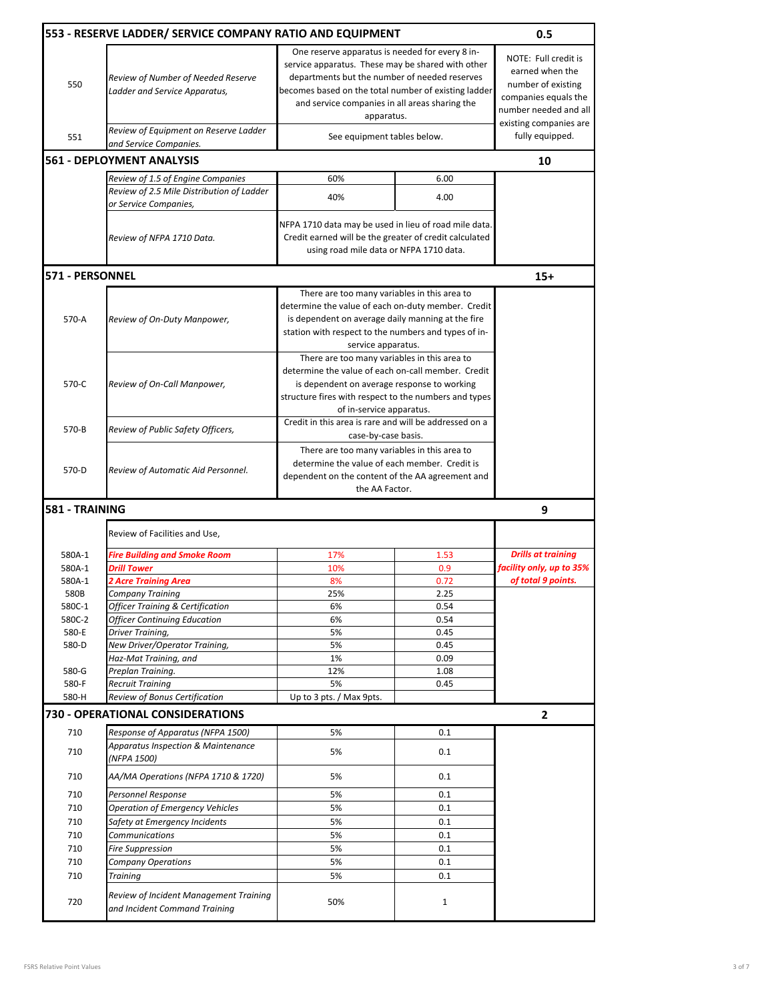|                  | 553 - RESERVE LADDER/ SERVICE COMPANY RATIO AND EQUIPMENT                                                                                                                                                                                                                                                                                            |                                                                                                                                                                                                                                        |                                                                                                                                                                                                                                       | 0.5                                                                                                                                      |
|------------------|------------------------------------------------------------------------------------------------------------------------------------------------------------------------------------------------------------------------------------------------------------------------------------------------------------------------------------------------------|----------------------------------------------------------------------------------------------------------------------------------------------------------------------------------------------------------------------------------------|---------------------------------------------------------------------------------------------------------------------------------------------------------------------------------------------------------------------------------------|------------------------------------------------------------------------------------------------------------------------------------------|
| 550              | One reserve apparatus is needed for every 8 in-<br>service apparatus. These may be shared with other<br>departments but the number of needed reserves<br>Review of Number of Needed Reserve<br>becomes based on the total number of existing ladder<br>Ladder and Service Apparatus,<br>and service companies in all areas sharing the<br>apparatus. |                                                                                                                                                                                                                                        |                                                                                                                                                                                                                                       | NOTE: Full credit is<br>earned when the<br>number of existing<br>companies equals the<br>number needed and all<br>existing companies are |
| 551              | Review of Equipment on Reserve Ladder<br>and Service Companies.                                                                                                                                                                                                                                                                                      | See equipment tables below.                                                                                                                                                                                                            |                                                                                                                                                                                                                                       | fully equipped.                                                                                                                          |
|                  | <b>561 - DEPLOYMENT ANALYSIS</b>                                                                                                                                                                                                                                                                                                                     |                                                                                                                                                                                                                                        |                                                                                                                                                                                                                                       | 10                                                                                                                                       |
|                  | Review of 1.5 of Engine Companies                                                                                                                                                                                                                                                                                                                    | 60%                                                                                                                                                                                                                                    | 6.00                                                                                                                                                                                                                                  |                                                                                                                                          |
|                  | Review of 2.5 Mile Distribution of Ladder<br>or Service Companies,                                                                                                                                                                                                                                                                                   | 40%                                                                                                                                                                                                                                    | 4.00                                                                                                                                                                                                                                  |                                                                                                                                          |
|                  | Review of NFPA 1710 Data.                                                                                                                                                                                                                                                                                                                            | NFPA 1710 data may be used in lieu of road mile data.<br>Credit earned will be the greater of credit calculated<br>using road mile data or NFPA 1710 data.                                                                             |                                                                                                                                                                                                                                       |                                                                                                                                          |
| 571 - PERSONNEL  |                                                                                                                                                                                                                                                                                                                                                      |                                                                                                                                                                                                                                        |                                                                                                                                                                                                                                       | $15+$                                                                                                                                    |
| 570-A            | Review of On-Duty Manpower,                                                                                                                                                                                                                                                                                                                          |                                                                                                                                                                                                                                        | There are too many variables in this area to<br>determine the value of each on-duty member. Credit<br>is dependent on average daily manning at the fire<br>station with respect to the numbers and types of in-<br>service apparatus. |                                                                                                                                          |
| 570-C            | Review of On-Call Manpower,                                                                                                                                                                                                                                                                                                                          | There are too many variables in this area to<br>determine the value of each on-call member. Credit<br>is dependent on average response to working<br>structure fires with respect to the numbers and types<br>of in-service apparatus. |                                                                                                                                                                                                                                       |                                                                                                                                          |
| 570-B            | Review of Public Safety Officers,                                                                                                                                                                                                                                                                                                                    | Credit in this area is rare and will be addressed on a<br>case-by-case basis.                                                                                                                                                          |                                                                                                                                                                                                                                       |                                                                                                                                          |
| 570-D            | Review of Automatic Aid Personnel.                                                                                                                                                                                                                                                                                                                   | There are too many variables in this area to<br>determine the value of each member. Credit is<br>dependent on the content of the AA agreement and<br>the AA Factor.                                                                    |                                                                                                                                                                                                                                       |                                                                                                                                          |
| 581 - TRAINING   |                                                                                                                                                                                                                                                                                                                                                      |                                                                                                                                                                                                                                        |                                                                                                                                                                                                                                       | 9                                                                                                                                        |
|                  |                                                                                                                                                                                                                                                                                                                                                      |                                                                                                                                                                                                                                        |                                                                                                                                                                                                                                       |                                                                                                                                          |
|                  | Review of Facilities and Use,                                                                                                                                                                                                                                                                                                                        |                                                                                                                                                                                                                                        |                                                                                                                                                                                                                                       |                                                                                                                                          |
| 580A-1           | <b>Fire Building and Smoke Room</b>                                                                                                                                                                                                                                                                                                                  | 17%                                                                                                                                                                                                                                    | 1.53                                                                                                                                                                                                                                  | <b>Drills at training</b>                                                                                                                |
| 580A-1           | Drill Tower                                                                                                                                                                                                                                                                                                                                          | 10%                                                                                                                                                                                                                                    | 0.9                                                                                                                                                                                                                                   | facility only, up to 35%                                                                                                                 |
| 580A-1           | 2 Acre Training Area                                                                                                                                                                                                                                                                                                                                 | 8%                                                                                                                                                                                                                                     | 0.72                                                                                                                                                                                                                                  | of total 9 points.                                                                                                                       |
| 580B             | Company Training                                                                                                                                                                                                                                                                                                                                     | 25%                                                                                                                                                                                                                                    | 2.25                                                                                                                                                                                                                                  |                                                                                                                                          |
| 580C-1<br>580C-2 | <b>Officer Training &amp; Certification</b><br><b>Officer Continuing Education</b>                                                                                                                                                                                                                                                                   | 6%<br>6%                                                                                                                                                                                                                               | 0.54<br>0.54                                                                                                                                                                                                                          |                                                                                                                                          |
| 580-E            | Driver Training,                                                                                                                                                                                                                                                                                                                                     | 5%                                                                                                                                                                                                                                     | 0.45                                                                                                                                                                                                                                  |                                                                                                                                          |
| 580-D            | New Driver/Operator Training,                                                                                                                                                                                                                                                                                                                        | 5%                                                                                                                                                                                                                                     | 0.45                                                                                                                                                                                                                                  |                                                                                                                                          |
|                  | Haz-Mat Training, and                                                                                                                                                                                                                                                                                                                                | 1%                                                                                                                                                                                                                                     | 0.09                                                                                                                                                                                                                                  |                                                                                                                                          |
| 580-G            | Preplan Training.                                                                                                                                                                                                                                                                                                                                    | 12%                                                                                                                                                                                                                                    | 1.08                                                                                                                                                                                                                                  |                                                                                                                                          |
| 580-F            | <b>Recruit Training</b>                                                                                                                                                                                                                                                                                                                              | 5%                                                                                                                                                                                                                                     | 0.45                                                                                                                                                                                                                                  |                                                                                                                                          |
| 580-H            | Review of Bonus Certification                                                                                                                                                                                                                                                                                                                        | Up to 3 pts. / Max 9pts.                                                                                                                                                                                                               |                                                                                                                                                                                                                                       |                                                                                                                                          |
|                  | 730 - OPERATIONAL CONSIDERATIONS                                                                                                                                                                                                                                                                                                                     |                                                                                                                                                                                                                                        |                                                                                                                                                                                                                                       | $\overline{2}$                                                                                                                           |
| 710              | Response of Apparatus (NFPA 1500)                                                                                                                                                                                                                                                                                                                    | 5%                                                                                                                                                                                                                                     | 0.1                                                                                                                                                                                                                                   |                                                                                                                                          |
| 710              | Apparatus Inspection & Maintenance<br>(NFPA 1500)                                                                                                                                                                                                                                                                                                    | 5%                                                                                                                                                                                                                                     | 0.1                                                                                                                                                                                                                                   |                                                                                                                                          |
| 710              | AA/MA Operations (NFPA 1710 & 1720)                                                                                                                                                                                                                                                                                                                  | 5%                                                                                                                                                                                                                                     | 0.1                                                                                                                                                                                                                                   |                                                                                                                                          |
| 710              | Personnel Response                                                                                                                                                                                                                                                                                                                                   | 5%                                                                                                                                                                                                                                     | 0.1                                                                                                                                                                                                                                   |                                                                                                                                          |
| 710              | Operation of Emergency Vehicles                                                                                                                                                                                                                                                                                                                      | 5%                                                                                                                                                                                                                                     | 0.1                                                                                                                                                                                                                                   |                                                                                                                                          |
| 710              | Safety at Emergency Incidents                                                                                                                                                                                                                                                                                                                        | 5%                                                                                                                                                                                                                                     | 0.1                                                                                                                                                                                                                                   |                                                                                                                                          |
| 710              | <b>Communications</b>                                                                                                                                                                                                                                                                                                                                | 5%                                                                                                                                                                                                                                     | 0.1                                                                                                                                                                                                                                   |                                                                                                                                          |
| 710              | Fire Suppression                                                                                                                                                                                                                                                                                                                                     | 5%                                                                                                                                                                                                                                     | 0.1                                                                                                                                                                                                                                   |                                                                                                                                          |
| 710              | <b>Company Operations</b>                                                                                                                                                                                                                                                                                                                            | 5%                                                                                                                                                                                                                                     | 0.1                                                                                                                                                                                                                                   |                                                                                                                                          |
| 710              | Training                                                                                                                                                                                                                                                                                                                                             | 5%                                                                                                                                                                                                                                     | 0.1                                                                                                                                                                                                                                   |                                                                                                                                          |
| 720              | Review of Incident Management Training<br>and Incident Command Training                                                                                                                                                                                                                                                                              | 50%                                                                                                                                                                                                                                    | $\mathbf{1}$                                                                                                                                                                                                                          |                                                                                                                                          |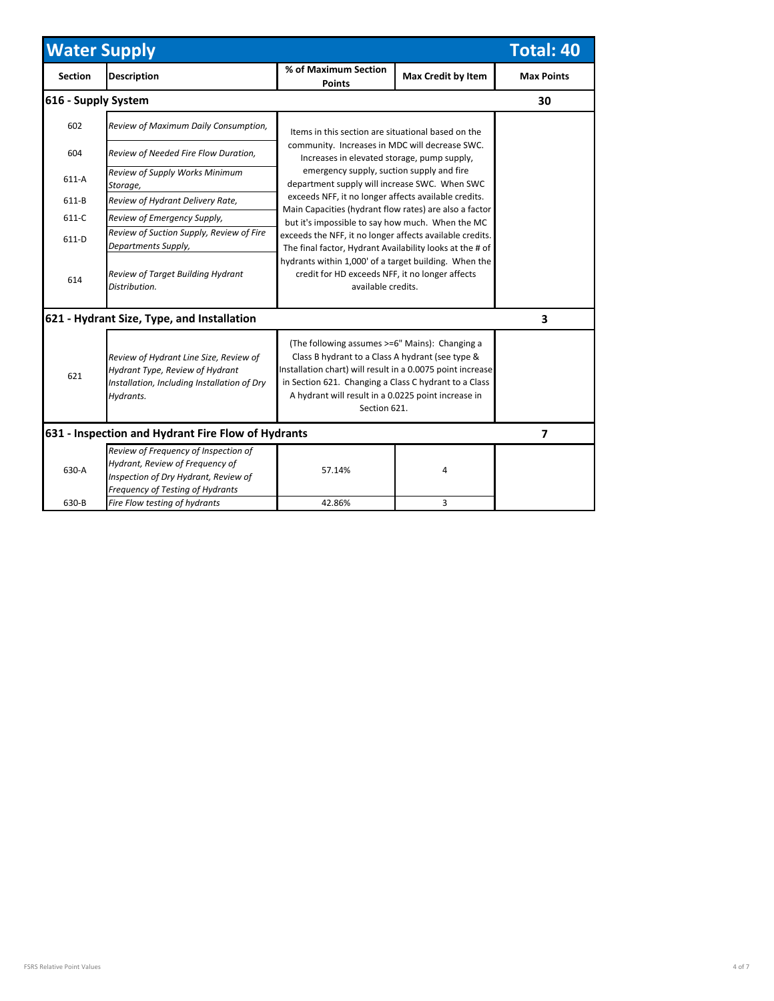| <b>Water Supply</b><br><b>Total: 40</b>            |                                                                                                                                                     |                                                                                                                                                                                                                                                                                                  |                                                                                               |                   |  |
|----------------------------------------------------|-----------------------------------------------------------------------------------------------------------------------------------------------------|--------------------------------------------------------------------------------------------------------------------------------------------------------------------------------------------------------------------------------------------------------------------------------------------------|-----------------------------------------------------------------------------------------------|-------------------|--|
| <b>Section</b>                                     | <b>Description</b>                                                                                                                                  | % of Maximum Section<br><b>Max Credit by Item</b><br><b>Points</b>                                                                                                                                                                                                                               |                                                                                               | <b>Max Points</b> |  |
| 616 - Supply System                                |                                                                                                                                                     |                                                                                                                                                                                                                                                                                                  |                                                                                               | 30                |  |
| 602                                                | Review of Maximum Daily Consumption,                                                                                                                | Items in this section are situational based on the                                                                                                                                                                                                                                               |                                                                                               |                   |  |
| 604                                                | Review of Needed Fire Flow Duration,                                                                                                                |                                                                                                                                                                                                                                                                                                  | community. Increases in MDC will decrease SWC.<br>Increases in elevated storage, pump supply, |                   |  |
| $611-A$                                            | Review of Supply Works Minimum<br>Storage,                                                                                                          | emergency supply, suction supply and fire<br>department supply will increase SWC. When SWC                                                                                                                                                                                                       |                                                                                               |                   |  |
| 611-B                                              | Review of Hydrant Delivery Rate,                                                                                                                    | exceeds NFF, it no longer affects available credits.                                                                                                                                                                                                                                             |                                                                                               |                   |  |
| $611-C$                                            | Review of Emergency Supply,                                                                                                                         | Main Capacities (hydrant flow rates) are also a factor<br>but it's impossible to say how much. When the MC                                                                                                                                                                                       |                                                                                               |                   |  |
| $611-D$                                            | Review of Suction Supply, Review of Fire<br>Departments Supply,                                                                                     | exceeds the NFF, it no longer affects available credits.<br>The final factor, Hydrant Availability looks at the # of                                                                                                                                                                             |                                                                                               |                   |  |
| 614                                                | Review of Target Building Hydrant<br>Distribution.                                                                                                  | hydrants within 1,000' of a target building. When the<br>credit for HD exceeds NFF, it no longer affects<br>available credits.                                                                                                                                                                   |                                                                                               |                   |  |
|                                                    | 621 - Hydrant Size, Type, and Installation                                                                                                          |                                                                                                                                                                                                                                                                                                  |                                                                                               | 3                 |  |
| 621                                                | Review of Hydrant Line Size, Review of<br>Hydrant Type, Review of Hydrant<br>Installation, Including Installation of Dry<br>Hydrants.               | (The following assumes >=6" Mains): Changing a<br>Class B hydrant to a Class A hydrant (see type &<br>Installation chart) will result in a 0.0075 point increase<br>in Section 621. Changing a Class C hydrant to a Class<br>A hydrant will result in a 0.0225 point increase in<br>Section 621. |                                                                                               |                   |  |
| 631 - Inspection and Hydrant Fire Flow of Hydrants | $\overline{\phantom{a}}$                                                                                                                            |                                                                                                                                                                                                                                                                                                  |                                                                                               |                   |  |
| 630-A                                              | Review of Frequency of Inspection of<br>Hydrant, Review of Frequency of<br>Inspection of Dry Hydrant, Review of<br>Frequency of Testing of Hydrants | 57.14%                                                                                                                                                                                                                                                                                           | 4                                                                                             |                   |  |
| 630-B                                              | Fire Flow testing of hydrants                                                                                                                       | 42.86%                                                                                                                                                                                                                                                                                           | 3                                                                                             |                   |  |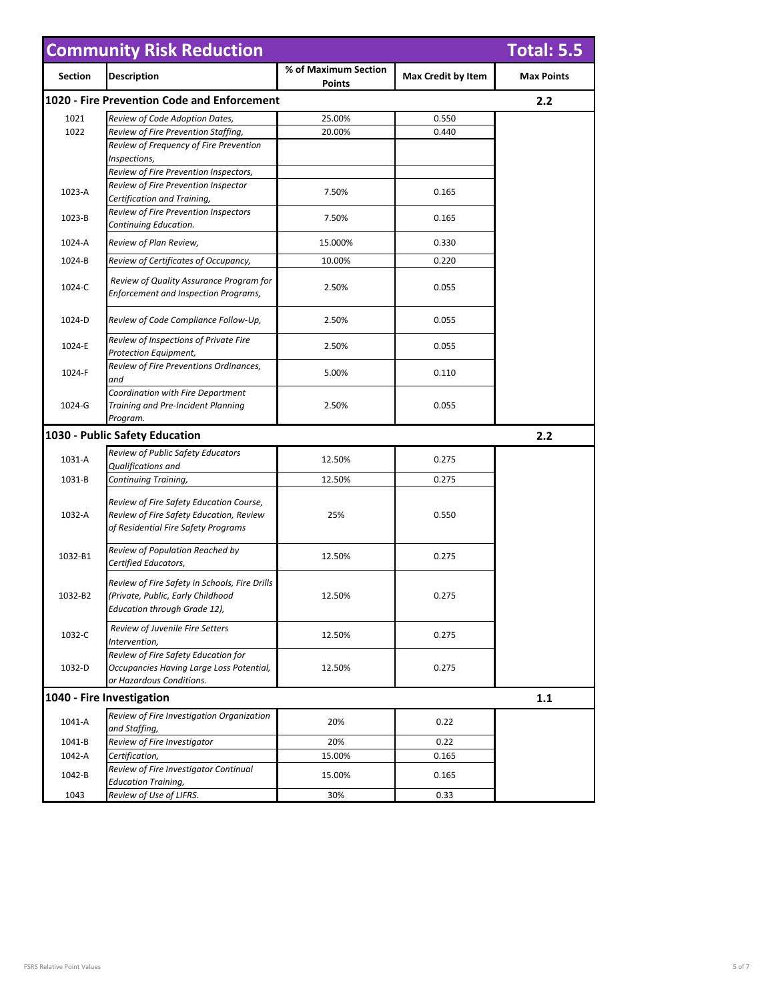| <b>Community Risk Reduction</b><br><b>Total: 5.5</b> |                                                                      |                                |                    |                   |  |  |
|------------------------------------------------------|----------------------------------------------------------------------|--------------------------------|--------------------|-------------------|--|--|
| <b>Section</b>                                       | <b>Description</b>                                                   | % of Maximum Section<br>Points | Max Credit by Item | <b>Max Points</b> |  |  |
|                                                      | 1020 - Fire Prevention Code and Enforcement                          |                                |                    | 2.2               |  |  |
| 1021                                                 | Review of Code Adoption Dates,                                       | 25.00%                         | 0.550              |                   |  |  |
| 1022                                                 | Review of Fire Prevention Staffing,                                  | 20.00%                         | 0.440              |                   |  |  |
|                                                      | Review of Frequency of Fire Prevention                               |                                |                    |                   |  |  |
|                                                      | Inspections,                                                         |                                |                    |                   |  |  |
|                                                      | Review of Fire Prevention Inspectors,                                |                                |                    |                   |  |  |
| 1023-A                                               | Review of Fire Prevention Inspector                                  | 7.50%                          | 0.165              |                   |  |  |
|                                                      | Certification and Training,                                          |                                |                    |                   |  |  |
| 1023-B                                               | Review of Fire Prevention Inspectors                                 | 7.50%                          | 0.165              |                   |  |  |
|                                                      | Continuing Education.                                                |                                |                    |                   |  |  |
| 1024-A                                               | Review of Plan Review,                                               | 15.000%                        | 0.330              |                   |  |  |
| 1024-B                                               | Review of Certificates of Occupancy,                                 | 10.00%                         | 0.220              |                   |  |  |
|                                                      | Review of Quality Assurance Program for                              |                                |                    |                   |  |  |
| 1024-C                                               | <b>Enforcement and Inspection Programs,</b>                          | 2.50%                          | 0.055              |                   |  |  |
|                                                      |                                                                      |                                |                    |                   |  |  |
| 1024-D                                               | Review of Code Compliance Follow-Up,                                 | 2.50%                          | 0.055              |                   |  |  |
|                                                      |                                                                      |                                |                    |                   |  |  |
| 1024-E                                               | Review of Inspections of Private Fire                                | 2.50%                          | 0.055              |                   |  |  |
|                                                      | Protection Equipment,                                                |                                |                    |                   |  |  |
| 1024-F                                               | Review of Fire Preventions Ordinances,                               | 5.00%                          | 0.110              |                   |  |  |
|                                                      | and<br>Coordination with Fire Department                             |                                |                    |                   |  |  |
| 1024-G                                               | Training and Pre-Incident Planning                                   | 2.50%                          | 0.055              |                   |  |  |
|                                                      | Program.                                                             |                                |                    |                   |  |  |
| 1030 - Public Safety Education<br>2.2                |                                                                      |                                |                    |                   |  |  |
|                                                      | Review of Public Safety Educators                                    |                                |                    |                   |  |  |
| 1031-A                                               | Qualifications and                                                   | 12.50%                         | 0.275              |                   |  |  |
| 1031-B                                               | Continuing Training,                                                 | 12.50%                         | 0.275              |                   |  |  |
|                                                      |                                                                      |                                |                    |                   |  |  |
|                                                      | Review of Fire Safety Education Course,                              |                                |                    |                   |  |  |
| 1032-A                                               | Review of Fire Safety Education, Review                              | 25%                            | 0.550              |                   |  |  |
|                                                      | of Residential Fire Safety Programs                                  |                                |                    |                   |  |  |
|                                                      | Review of Population Reached by                                      |                                |                    |                   |  |  |
| 1032-B1                                              | Certified Educators,                                                 | 12.50%                         | 0.275              |                   |  |  |
|                                                      |                                                                      |                                |                    |                   |  |  |
|                                                      | Review of Fire Safety in Schools, Fire Drills                        |                                |                    |                   |  |  |
| 1032-B2                                              | (Private, Public, Early Childhood<br>Education through Grade 12),    | 12.50%                         | 0.275              |                   |  |  |
|                                                      |                                                                      |                                |                    |                   |  |  |
| 1032-C                                               | Review of Juvenile Fire Setters                                      | 12.50%                         | 0.275              |                   |  |  |
|                                                      | Intervention,                                                        |                                |                    |                   |  |  |
|                                                      | Review of Fire Safety Education for                                  |                                |                    |                   |  |  |
| 1032-D                                               | Occupancies Having Large Loss Potential,<br>or Hazardous Conditions. | 12.50%                         | 0.275              |                   |  |  |
|                                                      |                                                                      |                                |                    |                   |  |  |
|                                                      | 1040 - Fire Investigation                                            |                                |                    | $1.1$             |  |  |
| 1041-A                                               | Review of Fire Investigation Organization                            | 20%                            | 0.22               |                   |  |  |
|                                                      | and Staffing,                                                        |                                |                    |                   |  |  |
| 1041-B                                               | Review of Fire Investigator                                          | 20%                            | 0.22               |                   |  |  |
| 1042-A                                               | Certification,                                                       | 15.00%                         | 0.165              |                   |  |  |
| 1042-B                                               | Review of Fire Investigator Continual                                | 15.00%                         | 0.165              |                   |  |  |
|                                                      | <b>Education Training,</b>                                           |                                |                    |                   |  |  |
| 1043                                                 | Review of Use of LIFRS.                                              | 30%                            | 0.33               |                   |  |  |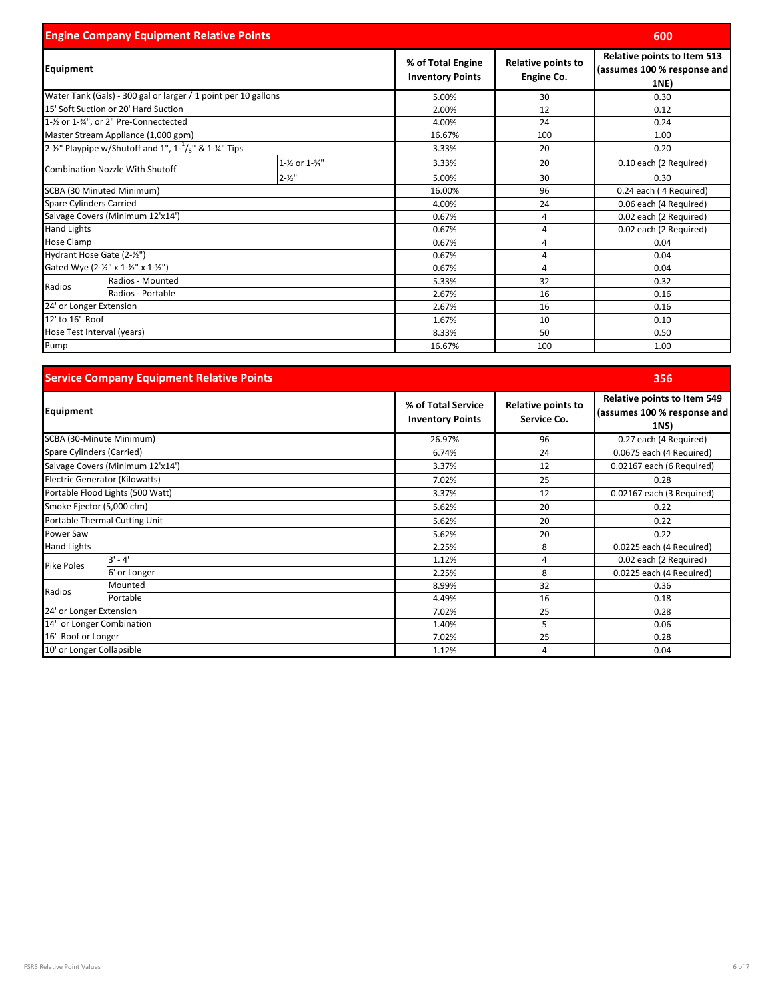| <b>Engine Company Equipment Relative Points</b> |                                                                               |                                              |                                  |                                                                    | 600                    |
|-------------------------------------------------|-------------------------------------------------------------------------------|----------------------------------------------|----------------------------------|--------------------------------------------------------------------|------------------------|
| Equipment                                       |                                                                               | % of Total Engine<br><b>Inventory Points</b> | Relative points to<br>Engine Co. | Relative points to Item 513<br>(assumes 100 % response and<br>1NE) |                        |
|                                                 | Water Tank (Gals) - 300 gal or larger / 1 point per 10 gallons                |                                              | 5.00%                            | 30                                                                 | 0.30                   |
|                                                 | 15' Soft Suction or 20' Hard Suction                                          |                                              | 2.00%                            | 12                                                                 | 0.12                   |
|                                                 | 1-1/2 or 1-3/4", or 2" Pre-Connectected                                       |                                              | 4.00%                            | 24                                                                 | 0.24                   |
|                                                 | Master Stream Appliance (1,000 gpm)                                           |                                              | 16.67%                           | 100                                                                | 1.00                   |
|                                                 | 2-1/ <sub>2</sub> " Playpipe w/Shutoff and 1", 1- $^{1}/_{8}$ " & 1-1/4" Tips |                                              | 3.33%                            | 20                                                                 | 0.20                   |
| <b>Combination Nozzle With Shutoff</b>          |                                                                               | 1-1/2 or 1-3/4"                              | 3.33%                            | 20                                                                 | 0.10 each (2 Required) |
|                                                 |                                                                               | $2 - 1/2$                                    | 5.00%                            | 30                                                                 | 0.30                   |
|                                                 | SCBA (30 Minuted Minimum)                                                     |                                              | 16.00%                           | 96                                                                 | 0.24 each (4 Required) |
| <b>Spare Cylinders Carried</b>                  |                                                                               | 4.00%                                        | 24                               | 0.06 each (4 Required)                                             |                        |
|                                                 | Salvage Covers (Minimum 12'x14')                                              |                                              | 0.67%                            | 4                                                                  | 0.02 each (2 Required) |
| Hand Lights                                     |                                                                               |                                              | 0.67%                            | $\overline{4}$                                                     | 0.02 each (2 Required) |
| <b>Hose Clamp</b>                               |                                                                               |                                              | 0.67%                            | 4                                                                  | 0.04                   |
| Hydrant Hose Gate (2-1/2")                      |                                                                               |                                              | 0.67%                            | 4                                                                  | 0.04                   |
|                                                 | Gated Wye (2-1/2" x 1-1/2" x 1-1/2")                                          |                                              | 0.67%                            | 4                                                                  | 0.04                   |
| Radios                                          | Radios - Mounted                                                              |                                              | 5.33%                            | 32                                                                 | 0.32                   |
|                                                 | Radios - Portable                                                             |                                              | 2.67%                            | 16                                                                 | 0.16                   |
| 24' or Longer Extension                         |                                                                               | 2.67%                                        | 16                               | 0.16                                                               |                        |
| 12' to 16' Roof                                 |                                                                               | 1.67%                                        | 10                               | 0.10                                                               |                        |
| Hose Test Interval (years)                      |                                                                               | 8.33%                                        | 50                               | 0.50                                                               |                        |
| Pump                                            |                                                                               |                                              | 16.67%                           | 100                                                                | 1.00                   |

|                               | <b>Service Company Equipment Relative Points</b> |                                               |                                   | 356                                                                       |
|-------------------------------|--------------------------------------------------|-----------------------------------------------|-----------------------------------|---------------------------------------------------------------------------|
| Equipment                     |                                                  | % of Total Service<br><b>Inventory Points</b> | Relative points to<br>Service Co. | <b>Relative points to Item 549</b><br>(assumes 100 % response and<br>1NS) |
|                               | SCBA (30-Minute Minimum)                         | 26.97%                                        | 96                                | 0.27 each (4 Required)                                                    |
| Spare Cylinders (Carried)     |                                                  | 6.74%                                         | 24                                | 0.0675 each (4 Required)                                                  |
|                               | Salvage Covers (Minimum 12'x14')                 | 3.37%                                         | 12                                | 0.02167 each (6 Required)                                                 |
|                               | Electric Generator (Kilowatts)                   | 7.02%                                         | 25                                | 0.28                                                                      |
|                               | Portable Flood Lights (500 Watt)                 | 3.37%                                         | 12                                | 0.02167 each (3 Required)                                                 |
| Smoke Ejector (5,000 cfm)     |                                                  | 5.62%                                         | 20                                | 0.22                                                                      |
| Portable Thermal Cutting Unit |                                                  | 5.62%                                         | 20                                | 0.22                                                                      |
| Power Saw                     |                                                  | 5.62%                                         | 20                                | 0.22                                                                      |
| <b>Hand Lights</b>            |                                                  | 2.25%                                         | 8                                 | 0.0225 each (4 Required)                                                  |
| Pike Poles                    | 3' - 4'                                          | 1.12%                                         | 4                                 | 0.02 each (2 Required)                                                    |
|                               | 6' or Longer                                     | 2.25%                                         | 8                                 | 0.0225 each (4 Required)                                                  |
| Radios                        | Mounted                                          | 8.99%                                         | 32                                | 0.36                                                                      |
|                               | Portable                                         | 4.49%                                         | 16                                | 0.18                                                                      |
| 24' or Longer Extension       |                                                  | 7.02%                                         | 25                                | 0.28                                                                      |
| 14' or Longer Combination     |                                                  | 1.40%                                         | 5                                 | 0.06                                                                      |
| 16' Roof or Longer            |                                                  | 7.02%                                         | 25                                | 0.28                                                                      |
| 10' or Longer Collapsible     |                                                  | 1.12%                                         | 4                                 | 0.04                                                                      |